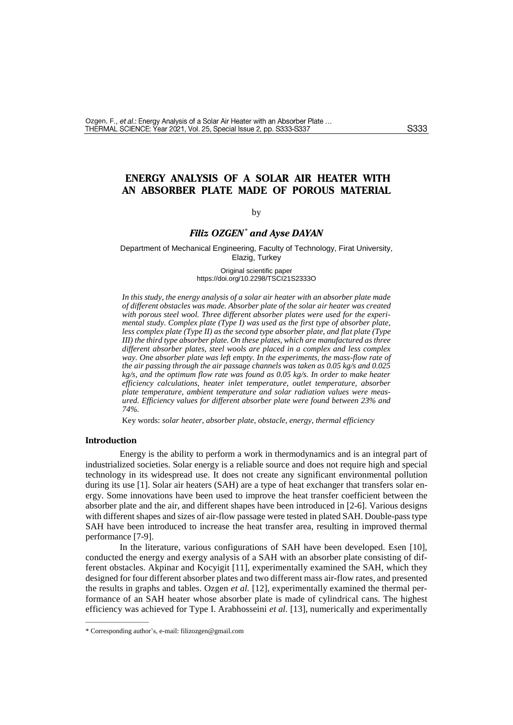# **ENERGY ANALYSIS OF A SOLAR AIR HEATER WITH AN ABSORBER PLATE MADE OF POROUS MATERIAL**

## by

# *Filiz OZGEN\* and Ayse DAYAN*

Department of Mechanical Engineering, Faculty of Technology, Firat University, Elazig, Turkey

#### Original scientific paper https://doi.org/10.2298/TSCI21S2333O

*In this study, the energy analysis of a solar air heater with an absorber plate made of different obstacles was made. Absorber plate of the solar air heater was created*  with porous steel wool. Three different absorber plates were used for the experi*mental study. Complex plate (Type I) was used as the first type of absorber plate, less complex plate (Type II) as the second type absorber plate, and flat plate (Type III) the third type absorber plate. On these plates, which are manufactured as three different absorber plates, steel wools are placed in a complex and less complex way. One absorber plate was left empty. In the experiments, the mass-flow rate of the air passing through the air passage channels was taken as 0.05 kg/s and 0.025 kg/s, and the optimum flow rate was found as 0.05 kg/s. In order to make heater efficiency calculations, heater inlet temperature, outlet temperature, absorber plate temperature, ambient temperature and solar radiation values were measured. Efficiency values for different absorber plate were found between 23% and 74%.* 

Key words: *solar heater, absorber plate, obstacle, energy, thermal efficiency*

### **Introduction**

––––––––––––––

Energy is the ability to perform a work in thermodynamics and is an integral part of industrialized societies. Solar energy is a reliable source and does not require high and special technology in its widespread use. It does not create any significant environmental pollution during its use [1]. Solar air heaters (SAH) are a type of heat exchanger that transfers solar energy. Some innovations have been used to improve the heat transfer coefficient between the absorber plate and the air, and different shapes have been introduced in [2-6]. Various designs with different shapes and sizes of air-flow passage were tested in plated SAH. Double-pass type SAH have been introduced to increase the heat transfer area, resulting in improved thermal performance [7-9].

In the literature, various configurations of SAH have been developed. Esen [10], conducted the energy and exergy analysis of a SAH with an absorber plate consisting of different obstacles. Akpinar and Kocyigit [11], experimentally examined the SAH, which they designed for four different absorber plates and two different mass air-flow rates, and presented the results in graphs and tables. Ozgen *et al.* [12], experimentally examined the thermal performance of an SAH heater whose absorber plate is made of cylindrical cans. The highest efficiency was achieved for Type I. Arabhosseini *et al.* [13], numerically and experimentally

<sup>\*</sup> Corresponding author's, e-mail[: filizozgen@gmail.com](mailto:filizozgen@gmail.com)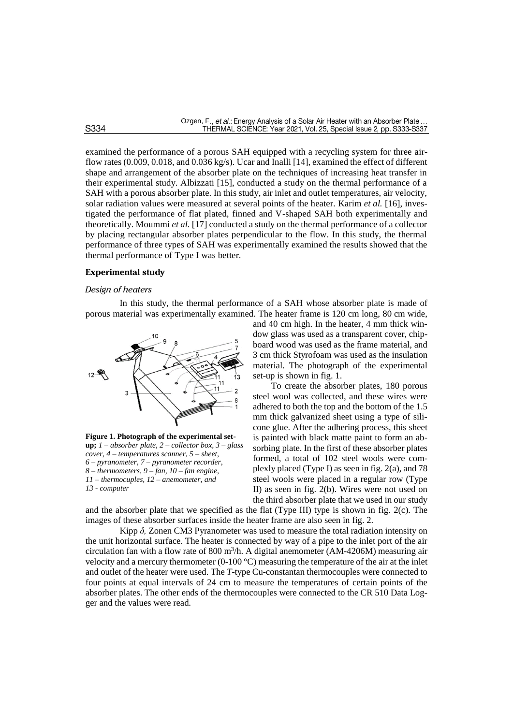examined the performance of a porous SAH equipped with a recycling system for three airflow rates (0.009, 0.018, and 0.036 kg/s). Ucar and Inalli [14], examined the effect of different shape and arrangement of the absorber plate on the techniques of increasing heat transfer in their experimental study. Albizzati [15], conducted a study on the thermal performance of a SAH with a porous absorber plate. In this study, air inlet and outlet temperatures, air velocity, solar radiation values were measured at several points of the heater. Karim *et al.* [16], investigated the performance of flat plated, finned and V-shaped SAH both experimentally and theoretically. Moummi *et al.* [17] conducted a study on the thermal performance of a collector by placing rectangular absorber plates perpendicular to the flow. In this study, the thermal performance of three types of SAH was experimentally examined the results showed that the thermal performance of Type I was better.

## **Experimental study**

#### *Design of heaters*

In this study, the thermal performance of a SAH whose absorber plate is made of porous material was experimentally examined. The heater frame is 120 cm long, 80 cm wide,



**Figure 1. Photograph of the experimental setup;**  $1 - absorber plate$ ,  $2 - collector box$ ,  $3 - glass$ *cover, 4 – temperatures scanner, 5 – sheet, 6 – pyranometer, 7 – pyranometer recorder, 8 – thermometers, 9 – fan, 10 – fan engine, 11 – thermocuples, 12 – anemometer, and 13 - computer*

and 40 cm high. In the heater, 4 mm thick window glass was used as a transparent cover, chipboard wood was used as the frame material, and 3 cm thick Styrofoam was used as the insulation material. The photograph of the experimental set-up is shown in fig. 1.

To create the absorber plates, 180 porous steel wool was collected, and these wires were adhered to both the top and the bottom of the 1.5 mm thick galvanized sheet using a type of silicone glue. After the adhering process, this sheet is painted with black matte paint to form an absorbing plate. In the first of these absorber plates formed, a total of 102 steel wools were complexly placed (Type I) as seen in fig. 2(a), and 78 steel wools were placed in a regular row (Type II) as seen in fig. 2(b). Wires were not used on the third absorber plate that we used in our study

and the absorber plate that we specified as the flat (Type III) type is shown in fig. 2(c). The images of these absorber surfaces inside the heater frame are also seen in fig. 2.

Kipp *δ,* Zonen CM3 Pyranometer was used to measure the total radiation intensity on the unit horizontal surface. The heater is connected by way of a pipe to the inlet port of the air circulation fan with a flow rate of 800 m<sup>3</sup>/h. A digital anemometer (AM-4206M) measuring air velocity and a mercury thermometer (0-100  $^{\circ}$ C) measuring the temperature of the air at the inlet and outlet of the heater were used. The *T*-type Cu-constantan thermocouples were connected to four points at equal intervals of 24 cm to measure the temperatures of certain points of the absorber plates. The other ends of the thermocouples were connected to the CR 510 Data Logger and the values were read.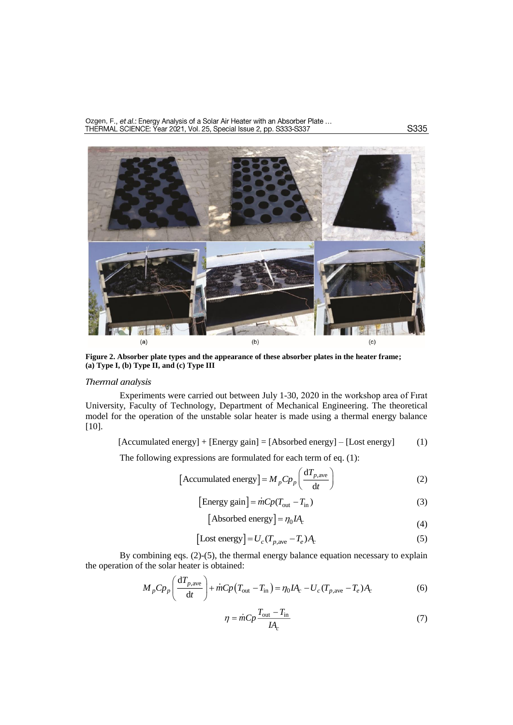Ozgen, F., et al.: Energy Analysis of a Solar Air Heater with an Absorber Plate ...<br>THERMAL SCIENCE: Year 2021, Vol. 25, Special Issue 2, pp. S333-S337



**Figure 2. Absorber plate types and the appearance of these absorber plates in the heater frame; (a) Type I, (b) Type II, and (c) Type III**

### *Thermal analysis*

Experiments were carried out between July 1-30, 2020 in the workshop area of Fırat University, Faculty of Technology, Department of Mechanical Engineering. The theoretical model for the operation of the unstable solar heater is made using a thermal energy balance [10].

 $[Accumulated energy] + [Energy gain] = [Absorbed energy] - [Loss energy]$  (1)

The following expressions are formulated for each term of eq. (1):

[Accumulated energy] = 
$$
M_p C p_p \left( \frac{dT_{p,\text{ave}}}{dt} \right)
$$
 (2)

[Energy gain] = 
$$
\dot{m}Cp(T_{\text{out}} - T_{\text{in}})
$$
 (3)

[Absolute energy] = 
$$
\eta_0 I A_c
$$
 (4)

[
$$
[Loss energy] = Uc (Tp,ave - Te) Ac
$$
 (5)

By combining eqs. (2)-(5), the thermal energy balance equation necessary to explain the operation of the solar heater is obtained:

$$
M_p C p_p \left( \frac{\mathrm{d} T_{p,\text{ave}}}{\mathrm{d} t} \right) + \dot{m} C p \left( T_{\text{out}} - T_{\text{in}} \right) = \eta_0 I A_c - U_c (T_{p,\text{ave}} - T_e) A_c \tag{6}
$$

$$
\eta = \dot{m}Cp \frac{T_{\text{out}} - T_{\text{in}}}{IA_c} \tag{7}
$$

S335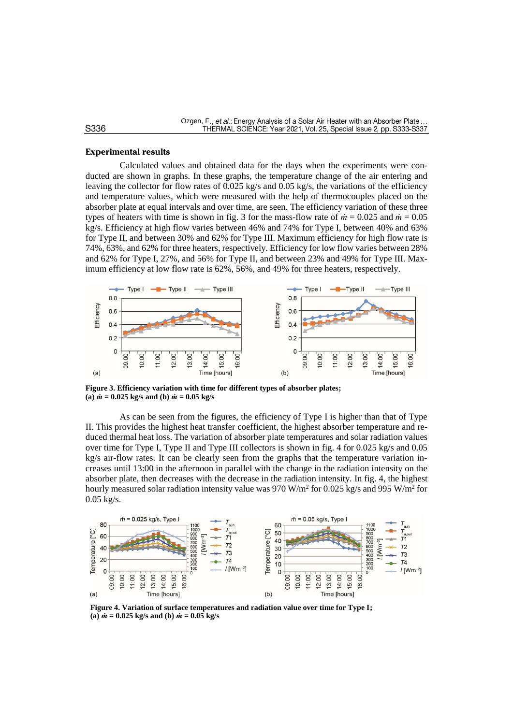#### **Experimental results**

Calculated values and obtained data for the days when the experiments were conducted are shown in graphs. In these graphs, the temperature change of the air entering and leaving the collector for flow rates of 0.025 kg/s and 0.05 kg/s, the variations of the efficiency and temperature values, which were measured with the help of thermocouples placed on the absorber plate at equal intervals and over time, are seen. The efficiency variation of these three types of heaters with time is shown in fig. 3 for the mass-flow rate of *ṁ* = 0.025 and *ṁ* = 0.05 kg/s. Efficiency at high flow varies between 46% and 74% for Type I, between 40% and 63% for Type II, and between 30% and 62% for Type III. Maximum efficiency for high flow rate is 74%, 63%, and 62% for three heaters, respectively. Efficiency for low flow varies between 28% and 62% for Type I, 27%, and 56% for Type II, and between 23% and 49% for Type III. Maximum efficiency at low flow rate is 62%, 56%, and 49% for three heaters, respectively.



**Figure 3. Efficiency variation with time for different types of absorber plates; (a)** *ṁ* **= 0.025 kg/s and (b)** *ṁ* **= 0.05 kg/s** 

As can be seen from the figures, the efficiency of Type I is higher than that of Type II. This provides the highest heat transfer coefficient, the highest absorber temperature and reduced thermal heat loss. The variation of absorber plate temperatures and solar radiation values over time for Type I, Type II and Type III collectors is shown in fig. 4 for 0.025 kg/s and 0.05 kg/s air-flow rates. It can be clearly seen from the graphs that the temperature variation increases until 13:00 in the afternoon in parallel with the change in the radiation intensity on the absorber plate, then decreases with the decrease in the radiation intensity. In fig. 4, the highest hourly measured solar radiation intensity value was 970 W/m<sup>2</sup> for 0.025 kg/s and 995 W/m<sup>2</sup> for 0.05 kg/s.



**Figure 4. Variation of surface temperatures and radiation value over time for Type I;**  $(n)$   $\dot{m} = 0.025$  kg/s and (b)  $\dot{m} = 0.05$  kg/s

### S336